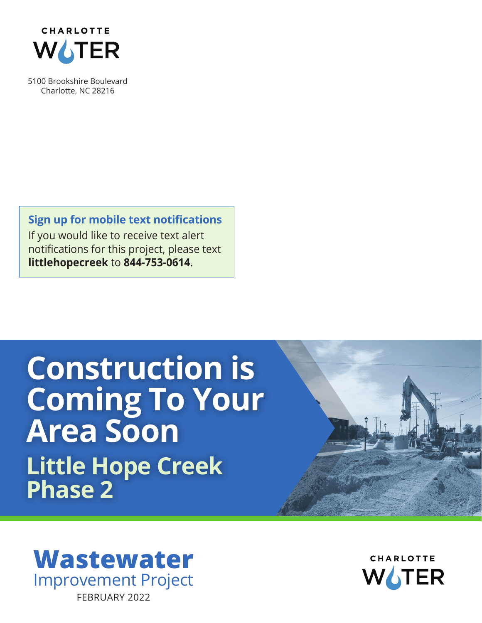

5100 Brookshire Boulevard Charlotte, NC 28216

**Sign up for mobile text notifications** If you would like to receive text alert notifications for this project, please text **littlehopecreek** to **844-753-0614**.

## **Construction is Coming To Your Area Soon Little Hope Creek Phase 2**